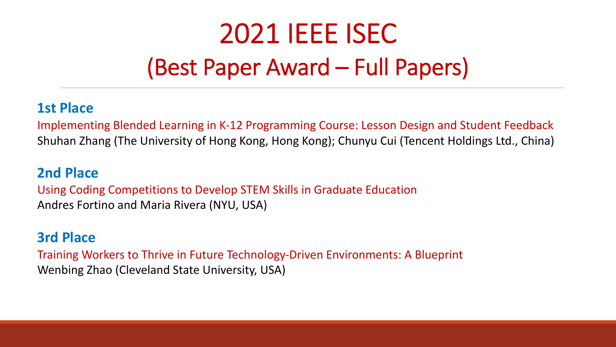# 2021 IEEE ISEC (Best Paper Award – Full Papers)

### **1st Place**

Implementing Blended Learning in K-12 Programming Course: Lesson Design and Student Feedback Shuhan Zhang (The University of Hong Kong, Hong Kong); Chunyu Cui (Tencent Holdings Ltd., China)

#### **2nd Place**

Using Coding Competitions to Develop STEM Skills in Graduate Education Andres Fortino and Maria Rivera (NYU, USA)

# **3rd Place**

Training Workers to Thrive in Future Technology-Driven Environments: A Blueprint Wenbing Zhao (Cleveland State University, USA)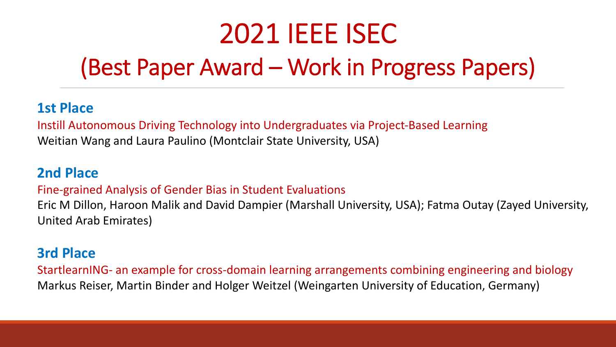# (Best Paper Award – Work in Progress Papers)

## **1st Place**

Instill Autonomous Driving Technology into Undergraduates via Project-Based Learning Weitian Wang and Laura Paulino (Montclair State University, USA)

### **2nd Place**

#### Fine-grained Analysis of Gender Bias in Student Evaluations

Eric M Dillon, Haroon Malik and David Dampier (Marshall University, USA); Fatma Outay (Zayed University, United Arab Emirates)

## **3rd Place**

StartlearnING- an example for cross-domain learning arrangements combining engineering and biology Markus Reiser, Martin Binder and Holger Weitzel (Weingarten University of Education, Germany)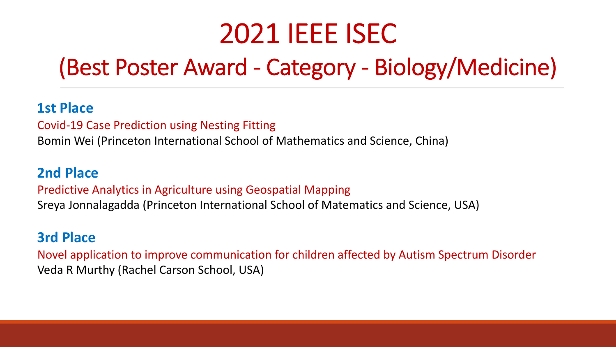# (Best Poster Award - Category - Biology/Medicine)

# **1st Place**

Covid-19 Case Prediction using Nesting Fitting

Bomin Wei (Princeton International School of Mathematics and Science, China)

## **2nd Place**

Predictive Analytics in Agriculture using Geospatial Mapping

Sreya Jonnalagadda (Princeton International School of Matematics and Science, USA)

# **3rd Place**

Novel application to improve communication for children affected by Autism Spectrum Disorder Veda R Murthy (Rachel Carson School, USA)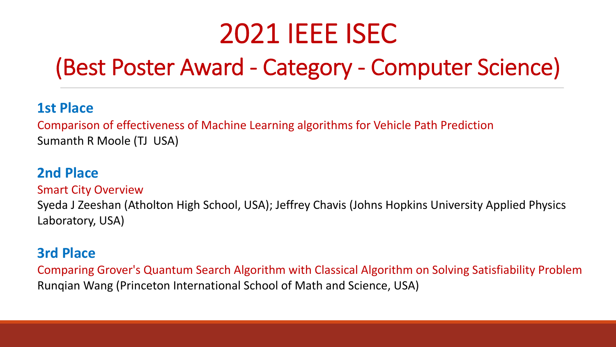# (Best Poster Award - Category - Computer Science)

## **1st Place**

Comparison of effectiveness of Machine Learning algorithms for Vehicle Path Prediction Sumanth R Moole (TJ USA)

## **2nd Place**

#### Smart City Overview

Syeda J Zeeshan (Atholton High School, USA); Jeffrey Chavis (Johns Hopkins University Applied Physics Laboratory, USA)

# **3rd Place**

Comparing Grover's Quantum Search Algorithm with Classical Algorithm on Solving Satisfiability Problem Runqian Wang (Princeton International School of Math and Science, USA)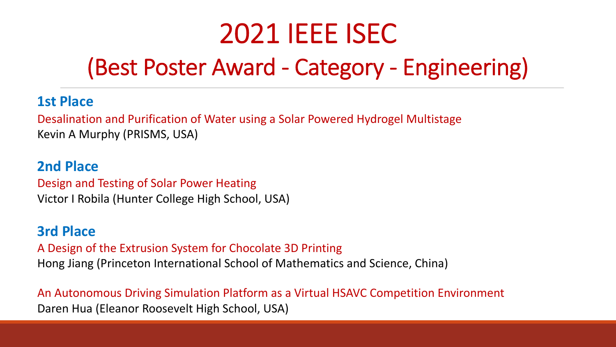# (Best Poster Award - Category - Engineering)

### **1st Place**

Desalination and Purification of Water using a Solar Powered Hydrogel Multistage Kevin A Murphy (PRISMS, USA)

## **2nd Place**  Design and Testing of Solar Power Heating Victor I Robila (Hunter College High School, USA)

#### **3rd Place**

A Design of the Extrusion System for Chocolate 3D Printing Hong Jiang (Princeton International School of Mathematics and Science, China)

An Autonomous Driving Simulation Platform as a Virtual HSAVC Competition Environment Daren Hua (Eleanor Roosevelt High School, USA)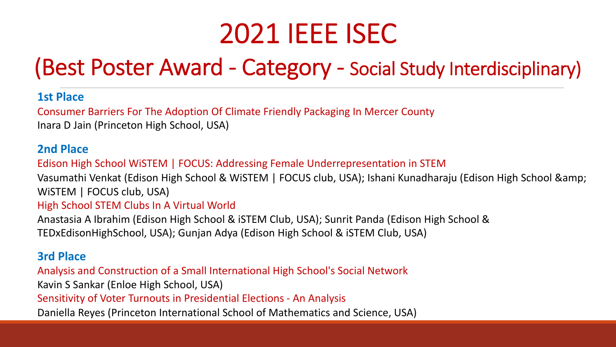# (Best Poster Award - Category - Social Study Interdisciplinary)

#### **1st Place**

Consumer Barriers For The Adoption Of Climate Friendly Packaging In Mercer County Inara D Jain (Princeton High School, USA)

#### **2nd Place**

Edison High School WiSTEM | FOCUS: Addressing Female Underrepresentation in STEM

Vasumathi Venkat (Edison High School & WiSTEM | FOCUS club, USA); Ishani Kunadharaju (Edison High School & WISTEM | FOCUS club, USA)

#### High School STEM Clubs In A Virtual World

Anastasia A Ibrahim (Edison High School & iSTEM Club, USA); Sunrit Panda (Edison High School & TEDxEdisonHighSchool, USA); Gunjan Adya (Edison High School & iSTEM Club, USA)

#### **3rd Place**

Analysis and Construction of a Small International High School's Social Network

Kavin S Sankar (Enloe High School, USA)

Sensitivity of Voter Turnouts in Presidential Elections - An Analysis

Daniella Reyes (Princeton International School of Mathematics and Science, USA)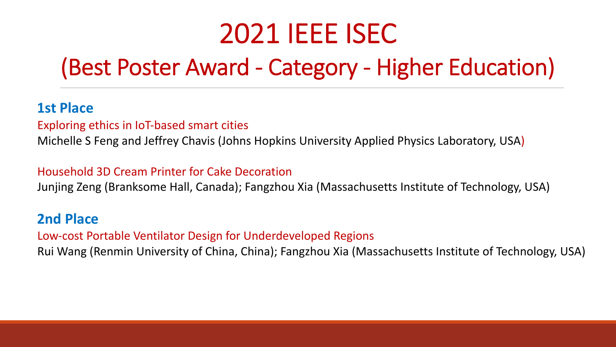# (Best Poster Award - Category - Higher Education)

### **1st Place**

Exploring ethics in IoT-based smart cities

Michelle S Feng and Jeffrey Chavis (Johns Hopkins University Applied Physics Laboratory, USA)

#### Household 3D Cream Printer for Cake Decoration

Junjing Zeng (Branksome Hall, Canada); Fangzhou Xia (Massachusetts Institute of Technology, USA)

## **2nd Place**

Low-cost Portable Ventilator Design for Underdeveloped Regions

Rui Wang (Renmin University of China, China); Fangzhou Xia (Massachusetts Institute of Technology, USA)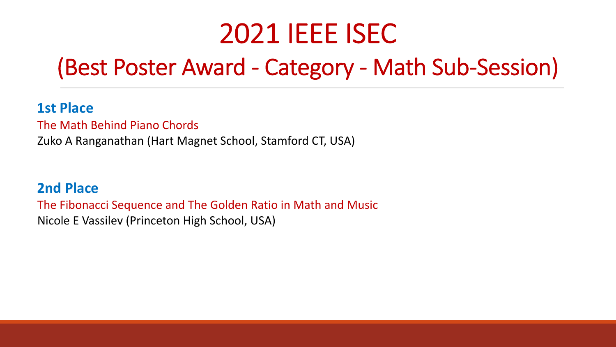# (Best Poster Award - Category - Math Sub-Session)

## **1st Place**

The Math Behind Piano Chords

Zuko A Ranganathan (Hart Magnet School, Stamford CT, USA)

## **2nd Place**

The Fibonacci Sequence and The Golden Ratio in Math and Music Nicole E Vassilev (Princeton High School, USA)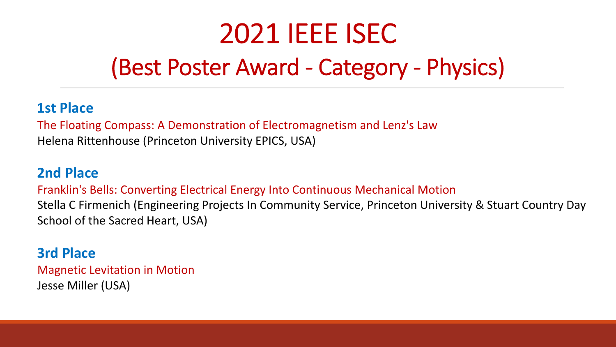# (Best Poster Award - Category - Physics)

## **1st Place**

The Floating Compass: A Demonstration of Electromagnetism and Lenz's Law Helena Rittenhouse (Princeton University EPICS, USA)

## **2nd Place**

Franklin's Bells: Converting Electrical Energy Into Continuous Mechanical Motion Stella C Firmenich (Engineering Projects In Community Service, Princeton University & Stuart Country Day School of the Sacred Heart, USA)

# **3rd Place**

Magnetic Levitation in Motion Jesse Miller (USA)